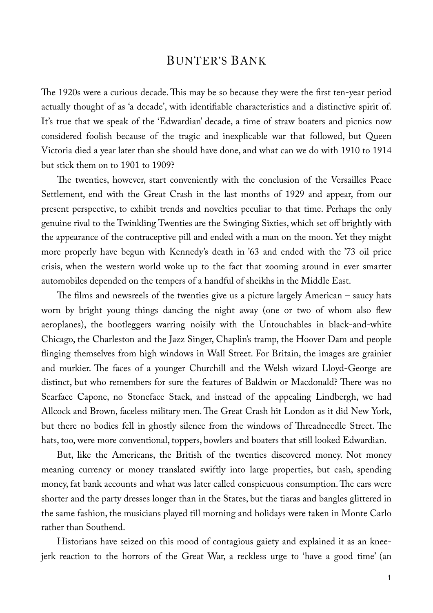## BUNTER'S BANK

The 1920s were a curious decade. This may be so because they were the first ten-year period actually thought of as 'a decade', with identifiable characteristics and a distinctive spirit of. It's true that we speak of the 'Edwardian' decade, a time of straw boaters and picnics now considered foolish because of the tragic and inexplicable war that followed, but Queen Victoria died a year later than she should have done, and what can we do with 1910 to 1914 but stick them on to 1901 to 1909?

The twenties, however, start conveniently with the conclusion of the Versailles Peace Settlement, end with the Great Crash in the last months of 1929 and appear, from our present perspective, to exhibit trends and novelties peculiar to that time. Perhaps the only genuine rival to the Twinkling Twenties are the Swinging Sixties, which set off brightly with the appearance of the contraceptive pill and ended with a man on the moon. Yet they might more properly have begun with Kennedy's death in '63 and ended with the '73 oil price crisis, when the western world woke up to the fact that zooming around in ever smarter automobiles depended on the tempers of a handful of sheikhs in the Middle East.

The films and newsreels of the twenties give us a picture largely  $A$ merican – saucy hats worn by bright young things dancing the night away (one or two of whom also flew aeroplanes), the bootleggers warring noisily with the Untouchables in black-and-white Chicago, the Charleston and the Jazz Singer, Chaplin's tramp, the Hoover Dam and people flinging themselves from high windows in Wall Street. For Britain, the images are grainier and murkier. The faces of a younger Churchill and the Welsh wizard Lloyd-George are distinct, but who remembers for sure the features of Baldwin or Macdonald? There was no Scarface Capone, no Stoneface Stack, and instead of the appealing Lindbergh, we had Allcock and Brown, faceless military men. The Great Crash hit London as it did New York, but there no bodies fell in ghostly silence from the windows of Threadneedle Street. The hats, too, were more conventional, toppers, bowlers and boaters that still looked Edwardian.

But, like the Americans, the British of the twenties discovered money. Not money meaning currency or money translated swiftly into large properties, but cash, spending money, fat bank accounts and what was later called conspicuous consumption. The cars were shorter and the party dresses longer than in the States, but the tiaras and bangles glittered in the same fashion, the musicians played till morning and holidays were taken in Monte Carlo rather than Southend.

Historians have seized on this mood of contagious gaiety and explained it as an kneejerk reaction to the horrors of the Great War, a reckless urge to 'have a good time' (an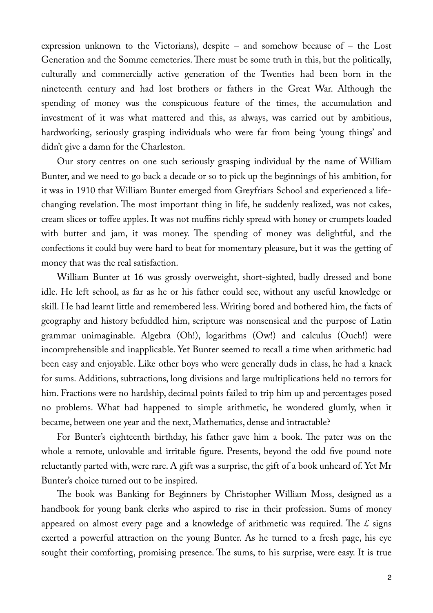expression unknown to the Victorians), despite – and somehow because of – the Lost Generation and the Somme cemeteries. There must be some truth in this, but the politically, culturally and commercially active generation of the Twenties had been born in the nineteenth century and had lost brothers or fathers in the Great War. Although the spending of money was the conspicuous feature of the times, the accumulation and investment of it was what mattered and this, as always, was carried out by ambitious, hardworking, seriously grasping individuals who were far from being 'young things' and didn't give a damn for the Charleston.

Our story centres on one such seriously grasping individual by the name of William Bunter, and we need to go back a decade or so to pick up the beginnings of his ambition, for it was in 1910 that William Bunter emerged from Greyfriars School and experienced a lifechanging revelation. The most important thing in life, he suddenly realized, was not cakes, cream slices or toffee apples. It was not muffins richly spread with honey or crumpets loaded with butter and jam, it was money. The spending of money was delightful, and the confections it could buy were hard to beat for momentary pleasure, but it was the getting of money that was the real satisfaction.

William Bunter at 16 was grossly overweight, short-sighted, badly dressed and bone idle. He left school, as far as he or his father could see, without any useful knowledge or skill. He had learnt little and remembered less. Writing bored and bothered him, the facts of geography and history befuddled him, scripture was nonsensical and the purpose of Latin grammar unimaginable. Algebra (Oh!), logarithms (Ow!) and calculus (Ouch!) were incomprehensible and inapplicable. Yet Bunter seemed to recall a time when arithmetic had been easy and enjoyable. Like other boys who were generally duds in class, he had a knack for sums. Additions, subtractions, long divisions and large multiplications held no terrors for him. Fractions were no hardship, decimal points failed to trip him up and percentages posed no problems. What had happened to simple arithmetic, he wondered glumly, when it became, between one year and the next, Mathematics, dense and intractable?

For Bunter's eighteenth birthday, his father gave him a book. The pater was on the whole a remote, unlovable and irritable figure. Presents, beyond the odd five pound note reluctantly parted with, were rare. A gift was a surprise, the gift of a book unheard of. Yet Mr Bunter's choice turned out to be inspired.

The book was Banking for Beginners by Christopher William Moss, designed as a handbook for young bank clerks who aspired to rise in their profession. Sums of money appeared on almost every page and a knowledge of arithmetic was required. The  $\mathcal L$  signs exerted a powerful attraction on the young Bunter. As he turned to a fresh page, his eye sought their comforting, promising presence. The sums, to his surprise, were easy. It is true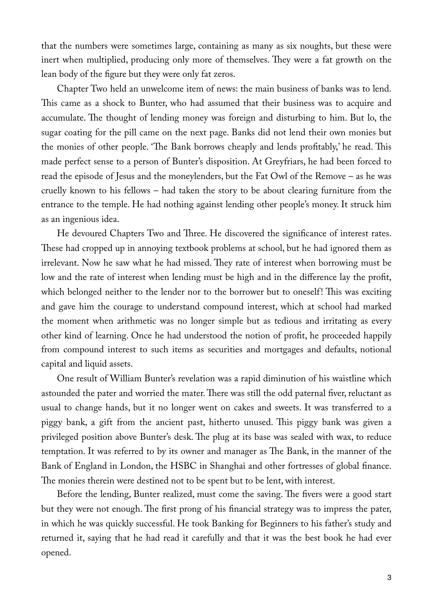that the numbers were sometimes large, containing as many as six noughts, but these were inert when multiplied, producing only more of themselves. They were a fat growth on the lean body of the figure but they were only fat zeros.

Chapter Two held an unwelcome item of news: the main business of banks was to lend. This came as a shock to Bunter, who had assumed that their business was to acquire and accumulate. The thought of lending money was foreign and disturbing to him. But lo, the sugar coating for the pill came on the next page. Banks did not lend their own monies but the monies of other people. 'The Bank borrows cheaply and lends profitably,' he read. This made perfect sense to a person of Bunter's disposition. At Greyfriars, he had been forced to read the episode of Jesus and the moneylenders, but the Fat Owl of the Remove – as he was cruelly known to his fellows – had taken the story to be about clearing furniture from the entrance to the temple. He had nothing against lending other people's money. It struck him as an ingenious idea.

He devoured Chapters Two and Three. He discovered the significance of interest rates. These had cropped up in annoying textbook problems at school, but he had ignored them as irrelevant. Now he saw what he had missed. They rate of interest when borrowing must be low and the rate of interest when lending must be high and in the difference lay the profit, which belonged neither to the lender nor to the borrower but to oneself! This was exciting and gave him the courage to understand compound interest, which at school had marked the moment when arithmetic was no longer simple but as tedious and irritating as every other kind of learning. Once he had understood the notion of profit, he proceeded happily from compound interest to such items as securities and mortgages and defaults, notional capital and liquid assets.

One result of William Bunter's revelation was a rapid diminution of his waistline which astounded the pater and worried the mater. There was still the odd paternal fiver, reluctant as usual to change hands, but it no longer went on cakes and sweets. It was transferred to a piggy bank, a gift from the ancient past, hitherto unused. This piggy bank was given a privileged position above Bunter's desk. The plug at its base was sealed with wax, to reduce temptation. It was referred to by its owner and manager as The Bank, in the manner of the Bank of England in London, the HSBC in Shanghai and other fortresses of global finance. The monies therein were destined not to be spent but to be lent, with interest.

Before the lending, Bunter realized, must come the saving. The fivers were a good start but they were not enough. The first prong of his financial strategy was to impress the pater, in which he was quickly successful. He took Banking for Beginners to his father's study and returned it, saying that he had read it carefully and that it was the best book he had ever opened.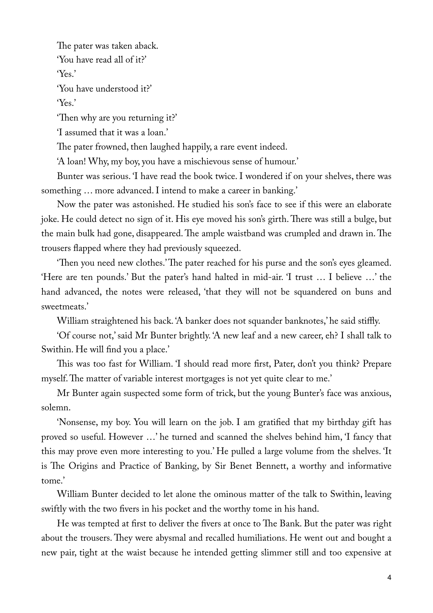The pater was taken aback. 'You have read all of it?' 'Yes.' 'You have understood it?' 'Yes.' 'Then why are you returning it?'

'I assumed that it was a loan.'

The pater frowned, then laughed happily, a rare event indeed.

'A loan! Why, my boy, you have a mischievous sense of humour.'

Bunter was serious. 'I have read the book twice. I wondered if on your shelves, there was something … more advanced. I intend to make a career in banking.'

Now the pater was astonished. He studied his son's face to see if this were an elaborate joke. He could detect no sign of it. His eye moved his son's girth. There was still a bulge, but the main bulk had gone, disappeared. The ample waistband was crumpled and drawn in. The trousers flapped where they had previously squeezed.

'Then you need new clothes.' The pater reached for his purse and the son's eyes gleamed. 'Here are ten pounds.' But the pater's hand halted in mid-air. 'I trust … I believe …' the hand advanced, the notes were released, 'that they will not be squandered on buns and sweetmeats.'

William straightened his back. 'A banker does not squander banknotes,' he said stiffly.

'Of course not,' said Mr Bunter brightly. 'A new leaf and a new career, eh? I shall talk to Swithin. He will find you a place.'

This was too fast for William. 'I should read more first, Pater, don't you think? Prepare myself. The matter of variable interest mortgages is not yet quite clear to me.'

Mr Bunter again suspected some form of trick, but the young Bunter's face was anxious, solemn.

'Nonsense, my boy. You will learn on the job. I am gratified that my birthday gift has proved so useful. However …' he turned and scanned the shelves behind him, 'I fancy that this may prove even more interesting to you.' He pulled a large volume from the shelves. 'It is The Origins and Practice of Banking, by Sir Benet Bennett, a worthy and informative tome.'

William Bunter decided to let alone the ominous matter of the talk to Swithin, leaving swiftly with the two fivers in his pocket and the worthy tome in his hand.

He was tempted at first to deliver the fivers at once to The Bank. But the pater was right about the trousers. They were abysmal and recalled humiliations. He went out and bought a new pair, tight at the waist because he intended getting slimmer still and too expensive at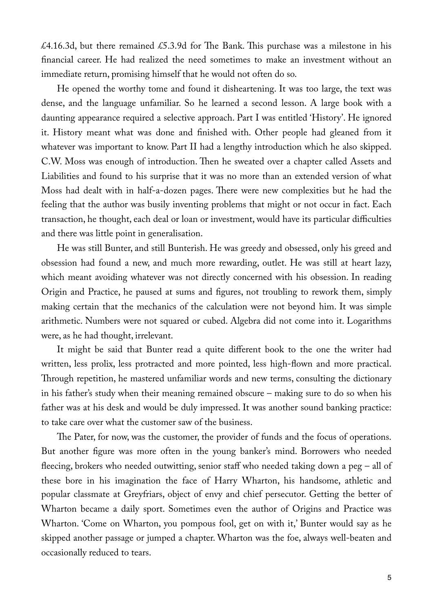£4.16.3d, but there remained £5.3.9d for The Bank. This purchase was a milestone in his financial career. He had realized the need sometimes to make an investment without an immediate return, promising himself that he would not often do so.

He opened the worthy tome and found it disheartening. It was too large, the text was dense, and the language unfamiliar. So he learned a second lesson. A large book with a daunting appearance required a selective approach. Part I was entitled 'History'. He ignored it. History meant what was done and finished with. Other people had gleaned from it whatever was important to know. Part II had a lengthy introduction which he also skipped. C.W. Moss was enough of introduction. Then he sweated over a chapter called Assets and Liabilities and found to his surprise that it was no more than an extended version of what Moss had dealt with in half-a-dozen pages. There were new complexities but he had the feeling that the author was busily inventing problems that might or not occur in fact. Each transaction, he thought, each deal or loan or investment, would have its particular difficulties and there was little point in generalisation.

He was still Bunter, and still Bunterish. He was greedy and obsessed, only his greed and obsession had found a new, and much more rewarding, outlet. He was still at heart lazy, which meant avoiding whatever was not directly concerned with his obsession. In reading Origin and Practice, he paused at sums and figures, not troubling to rework them, simply making certain that the mechanics of the calculation were not beyond him. It was simple arithmetic. Numbers were not squared or cubed. Algebra did not come into it. Logarithms were, as he had thought, irrelevant.

It might be said that Bunter read a quite different book to the one the writer had written, less prolix, less protracted and more pointed, less high-flown and more practical. Through repetition, he mastered unfamiliar words and new terms, consulting the dictionary in his father's study when their meaning remained obscure – making sure to do so when his father was at his desk and would be duly impressed. It was another sound banking practice: to take care over what the customer saw of the business.

The Pater, for now, was the customer, the provider of funds and the focus of operations. But another figure was more often in the young banker's mind. Borrowers who needed fleecing, brokers who needed outwitting, senior staff who needed taking down a peg – all of these bore in his imagination the face of Harry Wharton, his handsome, athletic and popular classmate at Greyfriars, object of envy and chief persecutor. Getting the better of Wharton became a daily sport. Sometimes even the author of Origins and Practice was Wharton. 'Come on Wharton, you pompous fool, get on with it,' Bunter would say as he skipped another passage or jumped a chapter. Wharton was the foe, always well-beaten and occasionally reduced to tears.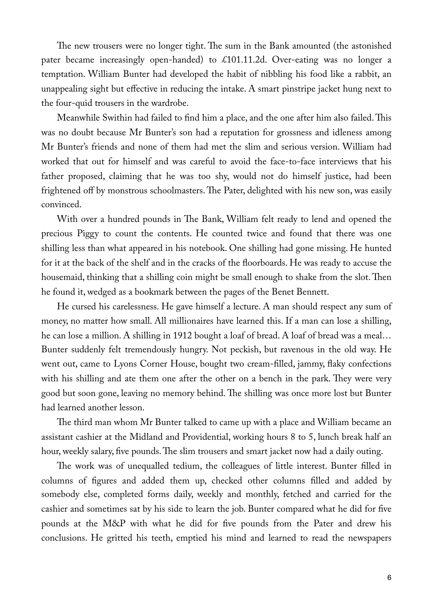The new trousers were no longer tight. The sum in the Bank amounted (the astonished pater became increasingly open-handed) to £101.11.2d. Over-eating was no longer a temptation. William Bunter had developed the habit of nibbling his food like a rabbit, an unappealing sight but effective in reducing the intake. A smart pinstripe jacket hung next to the four-quid trousers in the wardrobe.

Meanwhile Swithin had failed to find him a place, and the one after him also failed. This was no doubt because Mr Bunter's son had a reputation for grossness and idleness among Mr Bunter's friends and none of them had met the slim and serious version. William had worked that out for himself and was careful to avoid the face-to-face interviews that his father proposed, claiming that he was too shy, would not do himself justice, had been frightened off by monstrous schoolmasters. The Pater, delighted with his new son, was easily convinced.

With over a hundred pounds in The Bank, William felt ready to lend and opened the precious Piggy to count the contents. He counted twice and found that there was one shilling less than what appeared in his notebook. One shilling had gone missing. He hunted for it at the back of the shelf and in the cracks of the floorboards. He was ready to accuse the housemaid, thinking that a shilling coin might be small enough to shake from the slot. Then he found it, wedged as a bookmark between the pages of the Benet Bennett.

He cursed his carelessness. He gave himself a lecture. A man should respect any sum of money, no matter how small. All millionaires have learned this. If a man can lose a shilling, he can lose a million. A shilling in 1912 bought a loaf of bread. A loaf of bread was a meal… Bunter suddenly felt tremendously hungry. Not peckish, but ravenous in the old way. He went out, came to Lyons Corner House, bought two cream-filled, jammy, flaky confections with his shilling and ate them one after the other on a bench in the park. They were very good but soon gone, leaving no memory behind. The shilling was once more lost but Bunter had learned another lesson.

The third man whom Mr Bunter talked to came up with a place and William became an assistant cashier at the Midland and Providential, working hours 8 to 5, lunch break half an hour, weekly salary, five pounds. The slim trousers and smart jacket now had a daily outing.

The work was of unequalled tedium, the colleagues of little interest. Bunter filled in columns of figures and added them up, checked other columns filled and added by somebody else, completed forms daily, weekly and monthly, fetched and carried for the cashier and sometimes sat by his side to learn the job. Bunter compared what he did for five pounds at the M&P with what he did for five pounds from the Pater and drew his conclusions. He gritted his teeth, emptied his mind and learned to read the newspapers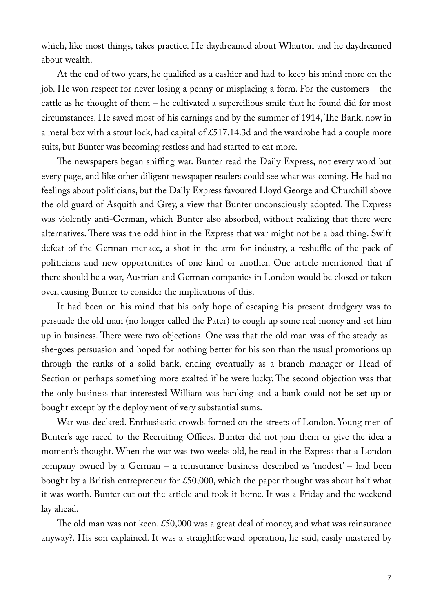which, like most things, takes practice. He daydreamed about Wharton and he daydreamed about wealth.

At the end of two years, he qualified as a cashier and had to keep his mind more on the job. He won respect for never losing a penny or misplacing a form. For the customers – the cattle as he thought of them – he cultivated a supercilious smile that he found did for most circumstances. He saved most of his earnings and by the summer of 1914, The Bank, now in a metal box with a stout lock, had capital of £517.14.3d and the wardrobe had a couple more suits, but Bunter was becoming restless and had started to eat more.

The newspapers began sniffing war. Bunter read the Daily Express, not every word but every page, and like other diligent newspaper readers could see what was coming. He had no feelings about politicians, but the Daily Express favoured Lloyd George and Churchill above the old guard of Asquith and Grey, a view that Bunter unconsciously adopted. The Express was violently anti-German, which Bunter also absorbed, without realizing that there were alternatives. There was the odd hint in the Express that war might not be a bad thing. Swift defeat of the German menace, a shot in the arm for industry, a reshuffle of the pack of politicians and new opportunities of one kind or another. One article mentioned that if there should be a war, Austrian and German companies in London would be closed or taken over, causing Bunter to consider the implications of this.

It had been on his mind that his only hope of escaping his present drudgery was to persuade the old man (no longer called the Pater) to cough up some real money and set him up in business. There were two objections. One was that the old man was of the steady-asshe-goes persuasion and hoped for nothing better for his son than the usual promotions up through the ranks of a solid bank, ending eventually as a branch manager or Head of Section or perhaps something more exalted if he were lucky. The second objection was that the only business that interested William was banking and a bank could not be set up or bought except by the deployment of very substantial sums.

War was declared. Enthusiastic crowds formed on the streets of London. Young men of Bunter's age raced to the Recruiting Offices. Bunter did not join them or give the idea a moment's thought. When the war was two weeks old, he read in the Express that a London company owned by a German – a reinsurance business described as 'modest' – had been bought by a British entrepreneur for £50,000, which the paper thought was about half what it was worth. Bunter cut out the article and took it home. It was a Friday and the weekend lay ahead.

The old man was not keen.  $\text{\pounds}50,000$  was a great deal of money, and what was reinsurance anyway?. His son explained. It was a straightforward operation, he said, easily mastered by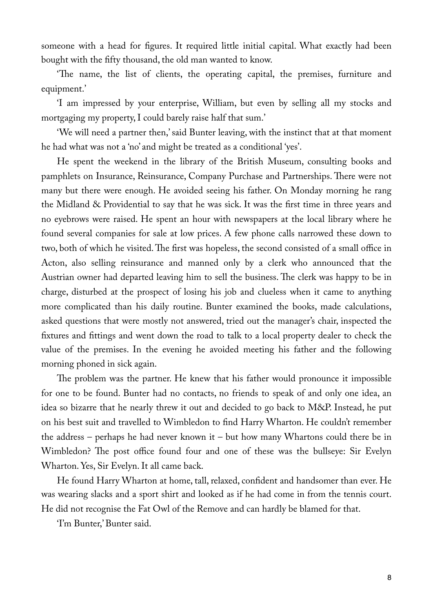someone with a head for figures. It required little initial capital. What exactly had been bought with the fifty thousand, the old man wanted to know.

'The name, the list of clients, the operating capital, the premises, furniture and equipment.'

'I am impressed by your enterprise, William, but even by selling all my stocks and mortgaging my property, I could barely raise half that sum.'

'We will need a partner then,' said Bunter leaving, with the instinct that at that moment he had what was not a 'no' and might be treated as a conditional 'yes'.

He spent the weekend in the library of the British Museum, consulting books and pamphlets on Insurance, Reinsurance, Company Purchase and Partnerships. There were not many but there were enough. He avoided seeing his father. On Monday morning he rang the Midland  $&$  Providential to say that he was sick. It was the first time in three years and no eyebrows were raised. He spent an hour with newspapers at the local library where he found several companies for sale at low prices. A few phone calls narrowed these down to two, both of which he visited. The first was hopeless, the second consisted of a small office in Acton, also selling reinsurance and manned only by a clerk who announced that the Austrian owner had departed leaving him to sell the business. The clerk was happy to be in charge, disturbed at the prospect of losing his job and clueless when it came to anything more complicated than his daily routine. Bunter examined the books, made calculations, asked questions that were mostly not answered, tried out the manager's chair, inspected the fixtures and fittings and went down the road to talk to a local property dealer to check the value of the premises. In the evening he avoided meeting his father and the following morning phoned in sick again.

The problem was the partner. He knew that his father would pronounce it impossible for one to be found. Bunter had no contacts, no friends to speak of and only one idea, an idea so bizarre that he nearly threw it out and decided to go back to M&P. Instead, he put on his best suit and travelled to Wimbledon to find Harry Wharton. He couldn't remember the address – perhaps he had never known it – but how many Whartons could there be in Wimbledon? The post office found four and one of these was the bullseye: Sir Evelyn Wharton. Yes, Sir Evelyn. It all came back.

He found Harry Wharton at home, tall, relaxed, confident and handsomer than ever. He was wearing slacks and a sport shirt and looked as if he had come in from the tennis court. He did not recognise the Fat Owl of the Remove and can hardly be blamed for that.

'I'm Bunter,' Bunter said.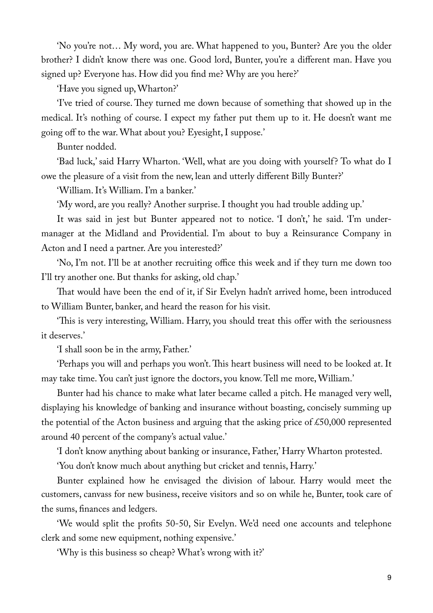'No you're not… My word, you are. What happened to you, Bunter? Are you the older brother? I didn't know there was one. Good lord, Bunter, you're a different man. Have you signed up? Everyone has. How did you find me? Why are you here?'

'Have you signed up, Wharton?'

'I've tried of course. They turned me down because of something that showed up in the medical. It's nothing of course. I expect my father put them up to it. He doesn't want me going off to the war. What about you? Eyesight, I suppose.'

Bunter nodded.

'Bad luck,' said Harry Wharton. 'Well, what are you doing with yourself? To what do I owe the pleasure of a visit from the new, lean and utterly different Billy Bunter?'

'William. It's William. I'm a banker.'

'My word, are you really? Another surprise. I thought you had trouble adding up.'

It was said in jest but Bunter appeared not to notice. 'I don't,' he said. 'I'm undermanager at the Midland and Providential. I'm about to buy a Reinsurance Company in Acton and I need a partner. Are you interested?'

'No, I'm not. I'll be at another recruiting office this week and if they turn me down too I'll try another one. But thanks for asking, old chap.'

That would have been the end of it, if Sir Evelyn hadn't arrived home, been introduced to William Bunter, banker, and heard the reason for his visit.

'This is very interesting, William. Harry, you should treat this offer with the seriousness it deserves.'

'I shall soon be in the army, Father.'

'Perhaps you will and perhaps you won't. This heart business will need to be looked at. It may take time. You can't just ignore the doctors, you know. Tell me more, William.'

Bunter had his chance to make what later became called a pitch. He managed very well, displaying his knowledge of banking and insurance without boasting, concisely summing up the potential of the Acton business and arguing that the asking price of  $\text{\pounds}50,000$  represented around 40 percent of the company's actual value.'

'I don't know anything about banking or insurance, Father,' Harry Wharton protested.

'You don't know much about anything but cricket and tennis, Harry.'

Bunter explained how he envisaged the division of labour. Harry would meet the customers, canvass for new business, receive visitors and so on while he, Bunter, took care of the sums, finances and ledgers.

'We would split the profits 50-50, Sir Evelyn. We'd need one accounts and telephone clerk and some new equipment, nothing expensive.'

'Why is this business so cheap? What's wrong with it?'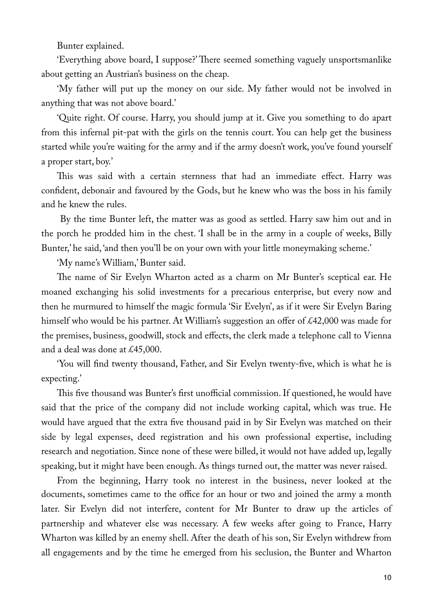Bunter explained.

'Everything above board, I suppose?' There seemed something vaguely unsportsmanlike about getting an Austrian's business on the cheap.

'My father will put up the money on our side. My father would not be involved in anything that was not above board.'

'Quite right. Of course. Harry, you should jump at it. Give you something to do apart from this infernal pit-pat with the girls on the tennis court. You can help get the business started while you're waiting for the army and if the army doesn't work, you've found yourself a proper start, boy.'

This was said with a certain sternness that had an immediate effect. Harry was confident, debonair and favoured by the Gods, but he knew who was the boss in his family and he knew the rules.

 By the time Bunter left, the matter was as good as settled. Harry saw him out and in the porch he prodded him in the chest. 'I shall be in the army in a couple of weeks, Billy Bunter,' he said, 'and then you'll be on your own with your little moneymaking scheme.'

'My name's William,' Bunter said.

The name of Sir Evelyn Wharton acted as a charm on Mr Bunter's sceptical ear. He moaned exchanging his solid investments for a precarious enterprise, but every now and then he murmured to himself the magic formula 'Sir Evelyn', as if it were Sir Evelyn Baring himself who would be his partner. At William's suggestion an offer of £42,000 was made for the premises, business, goodwill, stock and effects, the clerk made a telephone call to Vienna and a deal was done at £45,000.

'You will find twenty thousand, Father, and Sir Evelyn twenty-five, which is what he is expecting.'

This five thousand was Bunter's first unofficial commission. If questioned, he would have said that the price of the company did not include working capital, which was true. He would have argued that the extra five thousand paid in by Sir Evelyn was matched on their side by legal expenses, deed registration and his own professional expertise, including research and negotiation. Since none of these were billed, it would not have added up, legally speaking, but it might have been enough. As things turned out, the matter was never raised.

From the beginning, Harry took no interest in the business, never looked at the documents, sometimes came to the office for an hour or two and joined the army a month later. Sir Evelyn did not interfere, content for Mr Bunter to draw up the articles of partnership and whatever else was necessary. A few weeks after going to France, Harry Wharton was killed by an enemy shell. After the death of his son, Sir Evelyn withdrew from all engagements and by the time he emerged from his seclusion, the Bunter and Wharton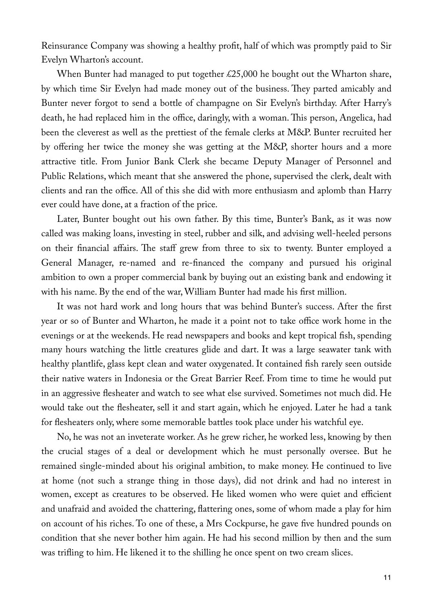Reinsurance Company was showing a healthy profit, half of which was promptly paid to Sir Evelyn Wharton's account.

When Bunter had managed to put together £25,000 he bought out the Wharton share, by which time Sir Evelyn had made money out of the business. They parted amicably and Bunter never forgot to send a bottle of champagne on Sir Evelyn's birthday. After Harry's death, he had replaced him in the office, daringly, with a woman. This person, Angelica, had been the cleverest as well as the prettiest of the female clerks at M&P. Bunter recruited her by offering her twice the money she was getting at the M&P, shorter hours and a more attractive title. From Junior Bank Clerk she became Deputy Manager of Personnel and Public Relations, which meant that she answered the phone, supervised the clerk, dealt with clients and ran the office. All of this she did with more enthusiasm and aplomb than Harry ever could have done, at a fraction of the price.

Later, Bunter bought out his own father. By this time, Bunter's Bank, as it was now called was making loans, investing in steel, rubber and silk, and advising well-heeled persons on their financial affairs. The staff grew from three to six to twenty. Bunter employed a General Manager, re-named and re-financed the company and pursued his original ambition to own a proper commercial bank by buying out an existing bank and endowing it with his name. By the end of the war, William Bunter had made his first million.

It was not hard work and long hours that was behind Bunter's success. After the first year or so of Bunter and Wharton, he made it a point not to take office work home in the evenings or at the weekends. He read newspapers and books and kept tropical fish, spending many hours watching the little creatures glide and dart. It was a large seawater tank with healthy plantlife, glass kept clean and water oxygenated. It contained fish rarely seen outside their native waters in Indonesia or the Great Barrier Reef. From time to time he would put in an aggressive flesheater and watch to see what else survived. Sometimes not much did. He would take out the flesheater, sell it and start again, which he enjoyed. Later he had a tank for flesheaters only, where some memorable battles took place under his watchful eye.

No, he was not an inveterate worker. As he grew richer, he worked less, knowing by then the crucial stages of a deal or development which he must personally oversee. But he remained single-minded about his original ambition, to make money. He continued to live at home (not such a strange thing in those days), did not drink and had no interest in women, except as creatures to be observed. He liked women who were quiet and efficient and unafraid and avoided the chattering, flattering ones, some of whom made a play for him on account of his riches. To one of these, a Mrs Cockpurse, he gave five hundred pounds on condition that she never bother him again. He had his second million by then and the sum was trifling to him. He likened it to the shilling he once spent on two cream slices.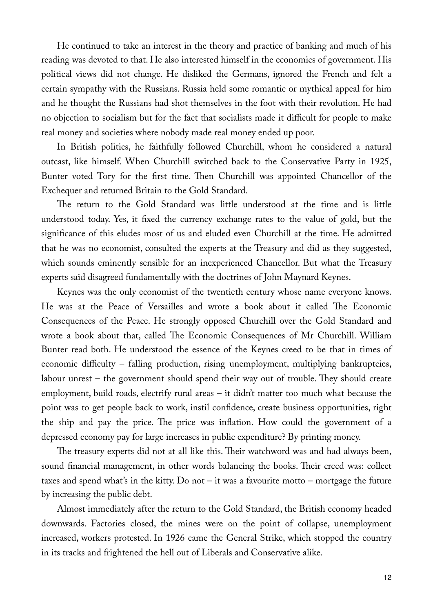He continued to take an interest in the theory and practice of banking and much of his reading was devoted to that. He also interested himself in the economics of government. His political views did not change. He disliked the Germans, ignored the French and felt a certain sympathy with the Russians. Russia held some romantic or mythical appeal for him and he thought the Russians had shot themselves in the foot with their revolution. He had no objection to socialism but for the fact that socialists made it difficult for people to make real money and societies where nobody made real money ended up poor.

In British politics, he faithfully followed Churchill, whom he considered a natural outcast, like himself. When Churchill switched back to the Conservative Party in 1925, Bunter voted Tory for the first time. Then Churchill was appointed Chancellor of the Exchequer and returned Britain to the Gold Standard.

The return to the Gold Standard was little understood at the time and is little understood today. Yes, it fixed the currency exchange rates to the value of gold, but the significance of this eludes most of us and eluded even Churchill at the time. He admitted that he was no economist, consulted the experts at the Treasury and did as they suggested, which sounds eminently sensible for an inexperienced Chancellor. But what the Treasury experts said disagreed fundamentally with the doctrines of John Maynard Keynes.

Keynes was the only economist of the twentieth century whose name everyone knows. He was at the Peace of Versailles and wrote a book about it called The Economic Consequences of the Peace. He strongly opposed Churchill over the Gold Standard and wrote a book about that, called The Economic Consequences of Mr Churchill. William Bunter read both. He understood the essence of the Keynes creed to be that in times of economic difficulty – falling production, rising unemployment, multiplying bankruptcies, labour unrest – the government should spend their way out of trouble. They should create employment, build roads, electrify rural areas – it didn't matter too much what because the point was to get people back to work, instil confidence, create business opportunities, right the ship and pay the price. The price was inflation. How could the government of a depressed economy pay for large increases in public expenditure? By printing money.

The treasury experts did not at all like this. Their watchword was and had always been, sound financial management, in other words balancing the books. Their creed was: collect taxes and spend what's in the kitty. Do not – it was a favourite motto – mortgage the future by increasing the public debt.

Almost immediately after the return to the Gold Standard, the British economy headed downwards. Factories closed, the mines were on the point of collapse, unemployment increased, workers protested. In 1926 came the General Strike, which stopped the country in its tracks and frightened the hell out of Liberals and Conservative alike.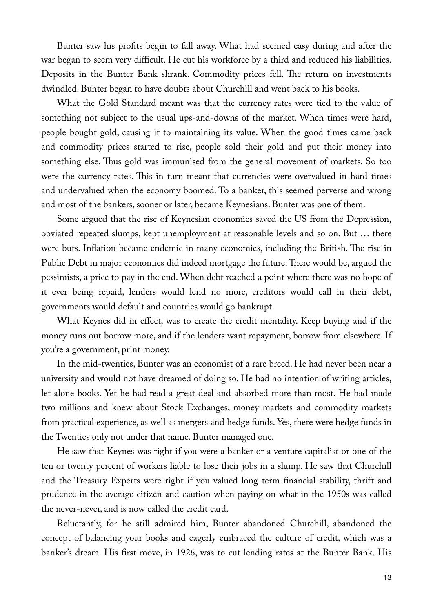Bunter saw his profits begin to fall away. What had seemed easy during and after the war began to seem very difficult. He cut his workforce by a third and reduced his liabilities. Deposits in the Bunter Bank shrank. Commodity prices fell. The return on investments dwindled. Bunter began to have doubts about Churchill and went back to his books.

What the Gold Standard meant was that the currency rates were tied to the value of something not subject to the usual ups-and-downs of the market. When times were hard, people bought gold, causing it to maintaining its value. When the good times came back and commodity prices started to rise, people sold their gold and put their money into something else. Thus gold was immunised from the general movement of markets. So too were the currency rates. This in turn meant that currencies were overvalued in hard times and undervalued when the economy boomed. To a banker, this seemed perverse and wrong and most of the bankers, sooner or later, became Keynesians. Bunter was one of them.

Some argued that the rise of Keynesian economics saved the US from the Depression, obviated repeated slumps, kept unemployment at reasonable levels and so on. But … there were buts. Inflation became endemic in many economies, including the British. The rise in Public Debt in major economies did indeed mortgage the future. There would be, argued the pessimists, a price to pay in the end. When debt reached a point where there was no hope of it ever being repaid, lenders would lend no more, creditors would call in their debt, governments would default and countries would go bankrupt.

What Keynes did in effect, was to create the credit mentality. Keep buying and if the money runs out borrow more, and if the lenders want repayment, borrow from elsewhere. If you're a government, print money.

In the mid-twenties, Bunter was an economist of a rare breed. He had never been near a university and would not have dreamed of doing so. He had no intention of writing articles, let alone books. Yet he had read a great deal and absorbed more than most. He had made two millions and knew about Stock Exchanges, money markets and commodity markets from practical experience, as well as mergers and hedge funds. Yes, there were hedge funds in the Twenties only not under that name. Bunter managed one.

He saw that Keynes was right if you were a banker or a venture capitalist or one of the ten or twenty percent of workers liable to lose their jobs in a slump. He saw that Churchill and the Treasury Experts were right if you valued long-term financial stability, thrift and prudence in the average citizen and caution when paying on what in the 1950s was called the never-never, and is now called the credit card.

Reluctantly, for he still admired him, Bunter abandoned Churchill, abandoned the concept of balancing your books and eagerly embraced the culture of credit, which was a banker's dream. His first move, in 1926, was to cut lending rates at the Bunter Bank. His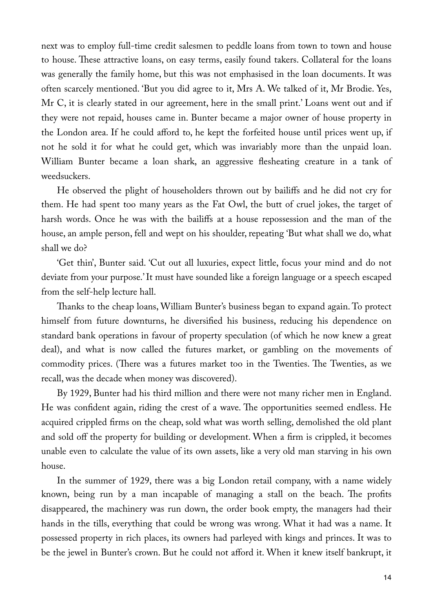next was to employ full-time credit salesmen to peddle loans from town to town and house to house. These attractive loans, on easy terms, easily found takers. Collateral for the loans was generally the family home, but this was not emphasised in the loan documents. It was often scarcely mentioned. 'But you did agree to it, Mrs A. We talked of it, Mr Brodie. Yes, Mr C, it is clearly stated in our agreement, here in the small print.' Loans went out and if they were not repaid, houses came in. Bunter became a major owner of house property in the London area. If he could afford to, he kept the forfeited house until prices went up, if not he sold it for what he could get, which was invariably more than the unpaid loan. William Bunter became a loan shark, an aggressive flesheating creature in a tank of weedsuckers.

He observed the plight of householders thrown out by bailiffs and he did not cry for them. He had spent too many years as the Fat Owl, the butt of cruel jokes, the target of harsh words. Once he was with the bailiffs at a house repossession and the man of the house, an ample person, fell and wept on his shoulder, repeating 'But what shall we do, what shall we do?

'Get thin', Bunter said. 'Cut out all luxuries, expect little, focus your mind and do not deviate from your purpose.' It must have sounded like a foreign language or a speech escaped from the self-help lecture hall.

Thanks to the cheap loans, William Bunter's business began to expand again. To protect himself from future downturns, he diversified his business, reducing his dependence on standard bank operations in favour of property speculation (of which he now knew a great deal), and what is now called the futures market, or gambling on the movements of commodity prices. (There was a futures market too in the Twenties. The Twenties, as we recall, was the decade when money was discovered).

By 1929, Bunter had his third million and there were not many richer men in England. He was confident again, riding the crest of a wave. The opportunities seemed endless. He acquired crippled firms on the cheap, sold what was worth selling, demolished the old plant and sold off the property for building or development. When a firm is crippled, it becomes unable even to calculate the value of its own assets, like a very old man starving in his own house.

In the summer of 1929, there was a big London retail company, with a name widely known, being run by a man incapable of managing a stall on the beach. The profits disappeared, the machinery was run down, the order book empty, the managers had their hands in the tills, everything that could be wrong was wrong. What it had was a name. It possessed property in rich places, its owners had parleyed with kings and princes. It was to be the jewel in Bunter's crown. But he could not afford it. When it knew itself bankrupt, it